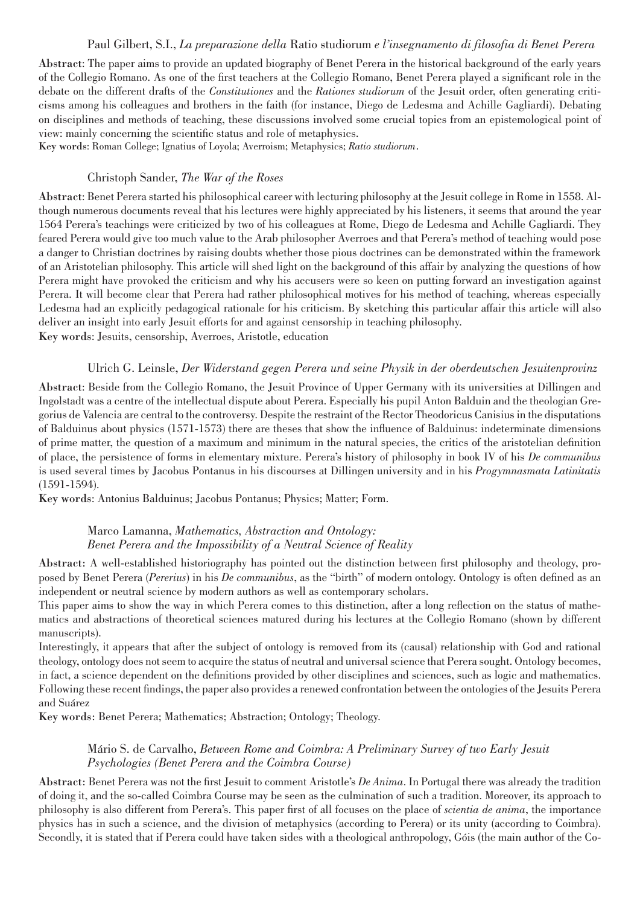#### Paul Gilbert, S.I., *La preparazione della* Ratio studiorum *e l'insegnamento di filosofia di Benet Perera*

Abstract: The paper aims to provide an updated biography of Benet Perera in the historical background of the early years of the Collegio Romano. As one of the first teachers at the Collegio Romano, Benet Perera played a significant role in the debate on the different drafts of the *Constitutiones* and the *Rationes studiorum* of the Jesuit order, often generating criticisms among his colleagues and brothers in the faith (for instance, Diego de Ledesma and Achille Gagliardi). Debating on disciplines and methods of teaching, these discussions involved some crucial topics from an epistemological point of view: mainly concerning the scientific status and role of metaphysics.

Key words: Roman College; Ignatius of Loyola; Averroism; Metaphysics; *Ratio studiorum*.

#### Christoph Sander, *The War of the Roses*

Abstract: Benet Perera started his philosophical career with lecturing philosophy at the Jesuit college in Rome in 1558. Although numerous documents reveal that his lectures were highly appreciated by his listeners, it seems that around the year 1564 Perera's teachings were criticized by two of his colleagues at Rome, Diego de Ledesma and Achille Gagliardi. They feared Perera would give too much value to the Arab philosopher Averroes and that Perera's method of teaching would pose a danger to Christian doctrines by raising doubts whether those pious doctrines can be demonstrated within the framework of an Aristotelian philosophy. This article will shed light on the background of this affair by analyzing the questions of how Perera might have provoked the criticism and why his accusers were so keen on putting forward an investigation against Perera. It will become clear that Perera had rather philosophical motives for his method of teaching, whereas especially Ledesma had an explicitly pedagogical rationale for his criticism. By sketching this particular affair this article will also deliver an insight into early Jesuit efforts for and against censorship in teaching philosophy. Key words: Jesuits, censorship, Averroes, Aristotle, education

#### Ulrich G. Leinsle, *Der Widerstand gegen Perera und seine Physik in der oberdeutschen Jesuitenprovinz*

Abstract: Beside from the Collegio Romano, the Jesuit Province of Upper Germany with its universities at Dillingen and Ingolstadt was a centre of the intellectual dispute about Perera. Especially his pupil Anton Balduin and the theologian Gregorius de Valencia are central to the controversy. Despite the restraint of the Rector Theodoricus Canisius in the disputations of Balduinus about physics (1571-1573) there are theses that show the influence of Balduinus: indeterminate dimensions of prime matter, the question of a maximum and minimum in the natural species, the critics of the aristotelian definition of place, the persistence of forms in elementary mixture. Perera's history of philosophy in book IV of his *De communibus* is used several times by Jacobus Pontanus in his discourses at Dillingen university and in his *Progymnasmata Latinitatis* (1591-1594).

Key words: Antonius Balduinus; Jacobus Pontanus; Physics; Matter; Form.

### Marco Lamanna, *Mathematics, Abstraction and Ontology: Benet Perera and the Impossibility of a Neutral Science of Reality*

Abstract: A well-established historiography has pointed out the distinction between first philosophy and theology, proposed by Benet Perera (*Pererius*) in his *De communibus*, as the "birth" of modern ontology. Ontology is often defined as an independent or neutral science by modern authors as well as contemporary scholars.

This paper aims to show the way in which Perera comes to this distinction, after a long reflection on the status of mathematics and abstractions of theoretical sciences matured during his lectures at the Collegio Romano (shown by different manuscripts).

Interestingly, it appears that after the subject of ontology is removed from its (causal) relationship with God and rational theology, ontology does not seem to acquire the status of neutral and universal science that Perera sought. Ontology becomes, in fact, a science dependent on the definitions provided by other disciplines and sciences, such as logic and mathematics. Following these recent findings, the paper also provides a renewed confrontation between the ontologies of the Jesuits Perera and Suárez

Key words: Benet Perera; Mathematics; Abstraction; Ontology; Theology.

## Mário S. de Carvalho, *Between Rome and Coimbra: A Preliminary Survey of two Early Jesuit Psychologies (Benet Perera and the Coimbra Course)*

Abstract: Benet Perera was not the first Jesuit to comment Aristotle's *De Anima*. In Portugal there was already the tradition of doing it, and the so-called Coimbra Course may be seen as the culmination of such a tradition. Moreover, its approach to philosophy is also different from Perera's. This paper first of all focuses on the place of *scientia de anima*, the importance physics has in such a science, and the division of metaphysics (according to Perera) or its unity (according to Coimbra). Secondly, it is stated that if Perera could have taken sides with a theological anthropology, Góis (the main author of the Co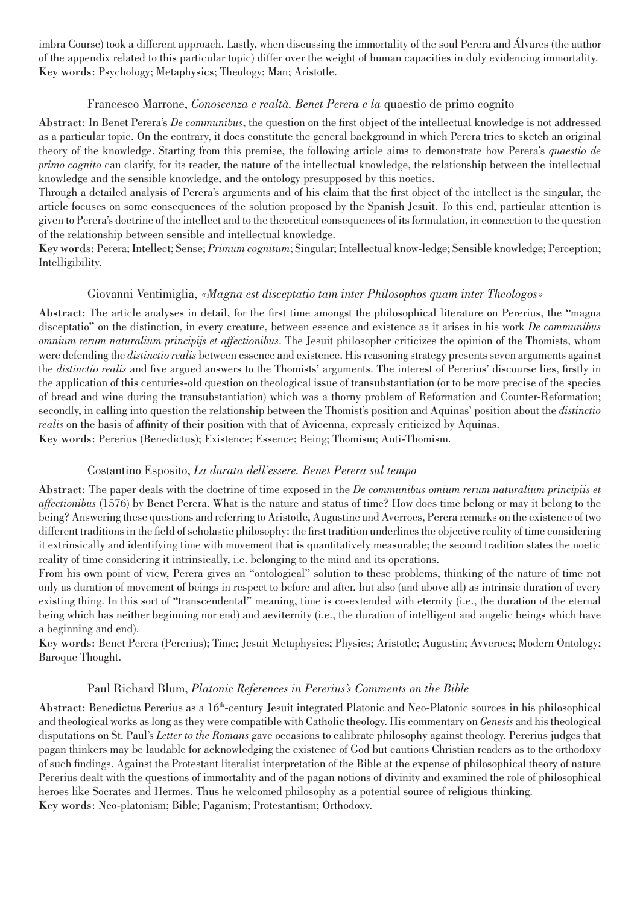imbra Course) took a different approach. Lastly, when discussing the immortality of the soul Perera and Álvares (the author of the appendix related to this particular topic) differ over the weight of human capacities in duly evidencing immortality. Key words: Psychology; Metaphysics; Theology; Man; Aristotle.

### Francesco Marrone, *Conoscenza e realtà. Benet Perera e la* quaestio de primo cognito

Abstract: In Benet Perera's *De communibus*, the question on the first object of the intellectual knowledge is not addressed as a particular topic. On the contrary, it does constitute the general background in which Perera tries to sketch an original theory of the knowledge. Starting from this premise, the following article aims to demonstrate how Perera's *quaestio de primo cognito* can clarify, for its reader, the nature of the intellectual knowledge, the relationship between the intellectual knowledge and the sensible knowledge, and the ontology presupposed by this noetics.

Through a detailed analysis of Perera's arguments and of his claim that the first object of the intellect is the singular, the article focuses on some consequences of the solution proposed by the Spanish Jesuit. To this end, particular attention is given to Perera's doctrine of the intellect and to the theoretical consequences of its formulation, in connection to the question of the relationship between sensible and intellectual knowledge.

Key words: Perera; Intellect; Sense; *Primum cognitum*; Singular; Intellectual know-ledge; Sensible knowledge; Perception; Intelligibility.

### Giovanni Ventimiglia, *«Magna est disceptatio tam inter Philosophos quam inter Theologos»*

Abstract: The article analyses in detail, for the first time amongst the philosophical literature on Pererius, the "magna disceptatio" on the distinction, in every creature, between essence and existence as it arises in his work *De communibus omnium rerum naturalium principijs et affectionibus*. The Jesuit philosopher criticizes the opinion of the Thomists, whom were defending the *distinctio realis* between essence and existence. His reasoning strategy presents seven arguments against the *distinctio realis* and five argued answers to the Thomists' arguments. The interest of Pererius' discourse lies, firstly in the application of this centuries-old question on theological issue of transubstantiation (or to be more precise of the species of bread and wine during the transubstantiation) which was a thorny problem of Reformation and Counter-Reformation; secondly, in calling into question the relationship between the Thomist's position and Aquinas' position about the *distinctio realis* on the basis of affinity of their position with that of Avicenna, expressly criticized by Aquinas. Key words: Pererius (Benedictus); Existence; Essence; Being; Thomism; Anti-Thomism.

## Costantino Esposito, *La durata dell'essere. Benet Perera sul tempo*

Abstract: The paper deals with the doctrine of time exposed in the *De communibus omium rerum naturalium principiis et affectionibus* (1576) by Benet Perera. What is the nature and status of time? How does time belong or may it belong to the being? Answering these questions and referring to Aristotle, Augustine and Averroes, Perera remarks on the existence of two different traditions in the field of scholastic philosophy: the first tradition underlines the objective reality of time considering it extrinsically and identifying time with movement that is quantitatively measurable; the second tradition states the noetic reality of time considering it intrinsically, i.e. belonging to the mind and its operations.

From his own point of view, Perera gives an "ontological" solution to these problems, thinking of the nature of time not only as duration of movement of beings in respect to before and after, but also (and above all) as intrinsic duration of every existing thing. In this sort of "transcendental" meaning, time is co-extended with eternity (i.e., the duration of the eternal being which has neither beginning nor end) and aeviternity (i.e., the duration of intelligent and angelic beings which have a beginning and end).

Key words: Benet Perera (Pererius); Time; Jesuit Metaphysics; Physics; Aristotle; Augustin; Avveroes; Modern Ontology; Baroque Thought.

#### Paul Richard Blum, *Platonic References in Pererius's Comments on the Bible*

Abstract: Benedictus Pererius as a 16<sup>th</sup>-century Jesuit integrated Platonic and Neo-Platonic sources in his philosophical and theological works as long as they were compatible with Catholic theology. His commentary on *Genesis* and his theological disputations on St. Paul's *Letter to the Romans* gave occasions to calibrate philosophy against theology. Pererius judges that pagan thinkers may be laudable for acknowledging the existence of God but cautions Christian readers as to the orthodoxy of such findings. Against the Protestant literalist interpretation of the Bible at the expense of philosophical theory of nature Pererius dealt with the questions of immortality and of the pagan notions of divinity and examined the role of philosophical heroes like Socrates and Hermes. Thus he welcomed philosophy as a potential source of religious thinking. Key words: Neo-platonism; Bible; Paganism; Protestantism; Orthodoxy.